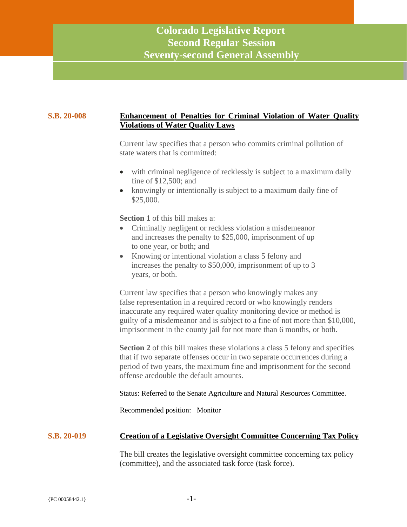### **S.B. 20-008 Enhancement of Penalties for Criminal Violation of Water Quality Violations of Water Quality Laws**

Current law specifies that a person who commits criminal pollution of state waters that is committed:

- with criminal negligence of recklessly is subject to a maximum daily fine of \$12,500; and
- knowingly or intentionally is subject to a maximum daily fine of \$25,000.

**Section 1** of this bill makes a:

- Criminally negligent or reckless violation a misdemeanor and increases the penalty to \$25,000, imprisonment of up to one year, or both; and
- Knowing or intentional violation a class 5 felony and increases the penalty to \$50,000, imprisonment of up to 3 years, or both.

Current law specifies that a person who knowingly makes any false representation in a required record or who knowingly renders inaccurate any required water quality monitoring device or method is guilty of a misdemeanor and is subject to a fine of not more than \$10,000, imprisonment in the county jail for not more than 6 months, or both.

**Section 2** of this bill makes these violations a class 5 felony and specifies that if two separate offenses occur in two separate occurrences during a period of two years, the maximum fine and imprisonment for the second offense aredouble the default amounts.

Status: Referred to the Senate Agriculture and Natural Resources Committee.

Recommended position: Monitor

# **S.B. 20-019 Creation of a Legislative Oversight Committee Concerning Tax Policy**

The bill creates the legislative oversight committee concerning tax policy (committee), and the associated task force (task force).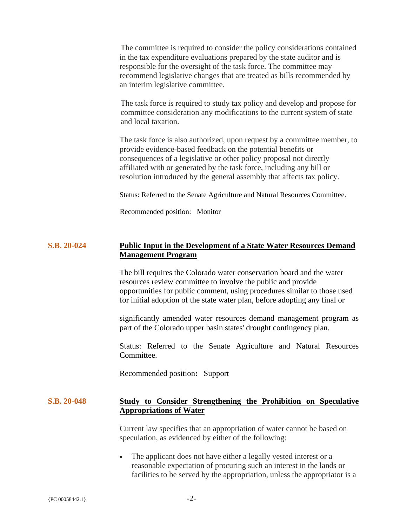The committee is required to consider the policy considerations contained in the tax expenditure evaluations prepared by the state auditor and is responsible for the oversight of the task force. The committee may recommend legislative changes that are treated as bills recommended by an interim legislative committee.

The task force is required to study tax policy and develop and propose for committee consideration any modifications to the current system of state and local taxation.

The task force is also authorized, upon request by a committee member, to provide evidence-based feedback on the potential benefits or consequences of a legislative or other policy proposal not directly affiliated with or generated by the task force, including any bill or resolution introduced by the general assembly that affects tax policy.

Status: Referred to the Senate Agriculture and Natural Resources Committee.

Recommended position: Monitor

## **S.B. 20-024 Public Input in the Development of a State Water Resources Demand Management Program**

The bill requires the Colorado water conservation board and the water resources review committee to involve the public and provide opportunities for public comment, using procedures similar to those used for initial adoption of the state water plan, before adopting any final or

significantly amended water resources demand management program as part of the Colorado upper basin states' drought contingency plan.

Status: Referred to the Senate Agriculture and Natural Resources Committee.

Recommended position**:** Support

### **S.B. 20-048 Study to Consider Strengthening the Prohibition on Speculative Appropriations of Water**

Current law specifies that an appropriation of water cannot be based on speculation, as evidenced by either of the following:

• The applicant does not have either a legally vested interest or a reasonable expectation of procuring such an interest in the lands or facilities to be served by the appropriation, unless the appropriator is a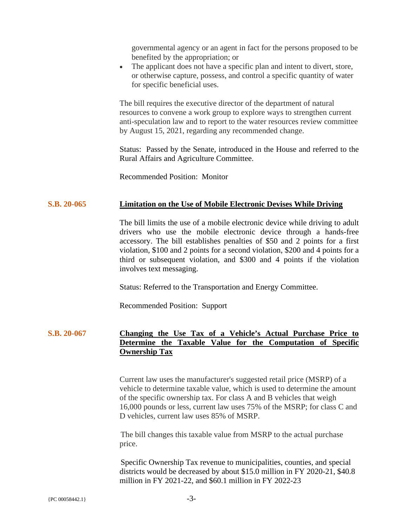governmental agency or an agent in fact for the persons proposed to be benefited by the appropriation; or

• The applicant does not have a specific plan and intent to divert, store, or otherwise capture, possess, and control a specific quantity of water for specific beneficial uses.

The bill requires the executive director of the department of natural resources to convene a work group to explore ways to strengthen current anti-speculation law and to report to the water resources review committee by August 15, 2021, regarding any recommended change.

Status: Passed by the Senate, introduced in the House and referred to the Rural Affairs and Agriculture Committee.

Recommended Position: Monitor

### **S.B. 20-065 Limitation on the Use of Mobile Electronic Devises While Driving**

The bill limits the use of a mobile electronic device while driving to adult drivers who use the mobile electronic device through a hands-free accessory. The bill establishes penalties of \$50 and 2 points for a first violation, \$100 and 2 points for a second violation, \$200 and 4 points for a third or subsequent violation, and \$300 and 4 points if the violation involves text messaging.

Status: Referred to the Transportation and Energy Committee.

Recommended Position: Support

# **S.B. 20-067 Changing the Use Tax of a Vehicle's Actual Purchase Price to Determine the Taxable Value for the Computation of Specific Ownership Tax**

Current law uses the manufacturer's suggested retail price (MSRP) of a vehicle to determine taxable value, which is used to determine the amount of the specific ownership tax. For class A and B vehicles that weigh 16,000 pounds or less, current law uses 75% of the MSRP; for class C and D vehicles, current law uses 85% of MSRP.

The bill changes this taxable value from MSRP to the actual purchase price.

Specific Ownership Tax revenue to municipalities, counties, and special districts would be decreased by about \$15.0 million in FY 2020-21, \$40.8 million in FY 2021-22, and \$60.1 million in FY 2022-23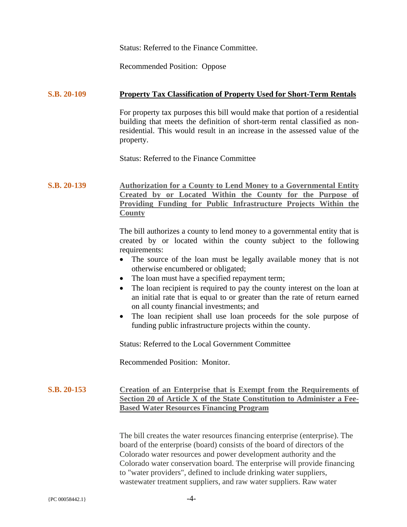Status: Referred to the Finance Committee.

Recommended Position: Oppose

#### **S.B. 20-109 Property Tax Classification of Property Used for Short-Term Rentals**

For property tax purposes this bill would make that portion of a residential building that meets the definition of short-term rental classified as nonresidential. This would result in an increase in the assessed value of the property.

Status: Referred to the Finance Committee

**S.B. 20-139 Authorization for a County to Lend Money to a Governmental Entity Created by or Located Within the County for the Purpose of Providing Funding for Public Infrastructure Projects Within the County**

> The bill authorizes a county to lend money to a governmental entity that is created by or located within the county subject to the following requirements:

- The source of the loan must be legally available money that is not otherwise encumbered or obligated;
- The loan must have a specified repayment term;
- The loan recipient is required to pay the county interest on the loan at an initial rate that is equal to or greater than the rate of return earned on all county financial investments; and
- The loan recipient shall use loan proceeds for the sole purpose of funding public infrastructure projects within the county.

Status: Referred to the Local Government Committee

Recommended Position: Monitor.

#### **S.B. 20-153 Creation of an Enterprise that is Exempt from the Requirements of Section 20 of Article X of the State Constitution to Administer a Fee-Based Water Resources Financing Program**

The bill creates the water resources financing enterprise (enterprise). The board of the enterprise (board) consists of the board of directors of the Colorado water resources and power development authority and the Colorado water conservation board. The enterprise will provide financing to "water providers", defined to include drinking water suppliers, wastewater treatment suppliers, and raw water suppliers. Raw water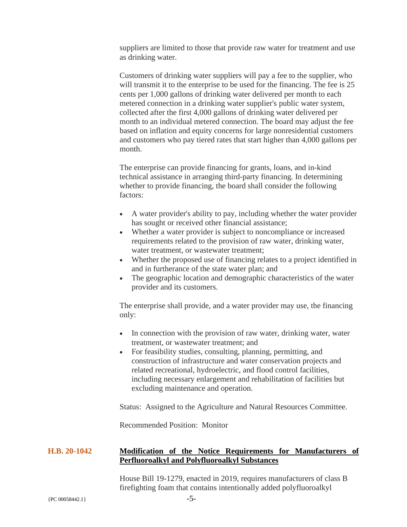suppliers are limited to those that provide raw water for treatment and use as drinking water.

Customers of drinking water suppliers will pay a fee to the supplier, who will transmit it to the enterprise to be used for the financing. The fee is 25 cents per 1,000 gallons of drinking water delivered per month to each metered connection in a drinking water supplier's public water system, collected after the first 4,000 gallons of drinking water delivered per month to an individual metered connection. The board may adjust the fee based on inflation and equity concerns for large nonresidential customers and customers who pay tiered rates that start higher than 4,000 gallons per month.

The enterprise can provide financing for grants, loans, and in-kind technical assistance in arranging third-party financing. In determining whether to provide financing, the board shall consider the following factors:

- A water provider's ability to pay, including whether the water provider has sought or received other financial assistance;
- Whether a water provider is subject to noncompliance or increased requirements related to the provision of raw water, drinking water, water treatment, or wastewater treatment;
- Whether the proposed use of financing relates to a project identified in and in furtherance of the state water plan; and
- The geographic location and demographic characteristics of the water provider and its customers.

The enterprise shall provide, and a water provider may use, the financing only:

- In connection with the provision of raw water, drinking water, water treatment, or wastewater treatment; and
- For feasibility studies, consulting, planning, permitting, and construction of infrastructure and water conservation projects and related recreational, hydroelectric, and flood control facilities, including necessary enlargement and rehabilitation of facilities but excluding maintenance and operation.

Status: Assigned to the Agriculture and Natural Resources Committee.

Recommended Position: Monitor

# **H.B. 20-1042 Modification of the Notice Requirements for Manufacturers of Perfluoroalkyl and Polyfluoroalkyl Substances**

House Bill 19-1279, enacted in 2019, requires manufacturers of class B firefighting foam that contains intentionally added polyfluoroalkyl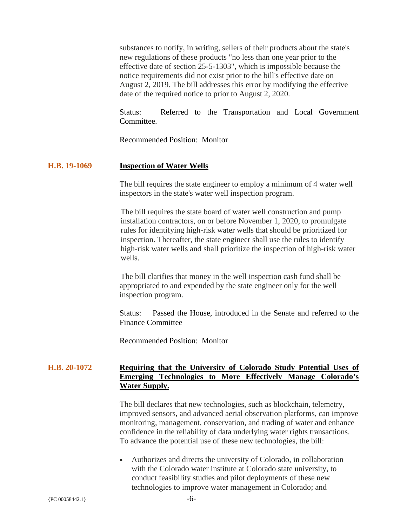substances to notify, in writing, sellers of their products about the state's new regulations of these products "no less than one year prior to the effective date of section 25-5-1303", which is impossible because the notice requirements did not exist prior to the bill's effective date on August 2, 2019. The bill addresses this error by modifying the effective date of the required notice to prior to August 2, 2020.

Status: Referred to the Transportation and Local Government Committee.

Recommended Position: Monitor

#### **H.B. 19-1069 Inspection of Water Wells**

The bill requires the state engineer to employ a minimum of 4 water well inspectors in the state's water well inspection program.

The bill requires the state board of water well construction and pump installation contractors, on or before November 1, 2020, to promulgate rules for identifying high-risk water wells that should be prioritized for inspection. Thereafter, the state engineer shall use the rules to identify high-risk water wells and shall prioritize the inspection of high-risk water wells.

The bill clarifies that money in the well inspection cash fund shall be appropriated to and expended by the state engineer only for the well inspection program.

Status: Passed the House, introduced in the Senate and referred to the Finance Committee

Recommended Position: Monitor

# **H.B. 20-1072 Requiring that the University of Colorado Study Potential Uses of Emerging Technologies to More Effectively Manage Colorado's Water Supply.**

The bill declares that new technologies, such as blockchain, telemetry, improved sensors, and advanced aerial observation platforms, can improve monitoring, management, conservation, and trading of water and enhance confidence in the reliability of data underlying water rights transactions. To advance the potential use of these new technologies, the bill:

• Authorizes and directs the university of Colorado, in collaboration with the Colorado water institute at Colorado state university, to conduct feasibility studies and pilot deployments of these new technologies to improve water management in Colorado; and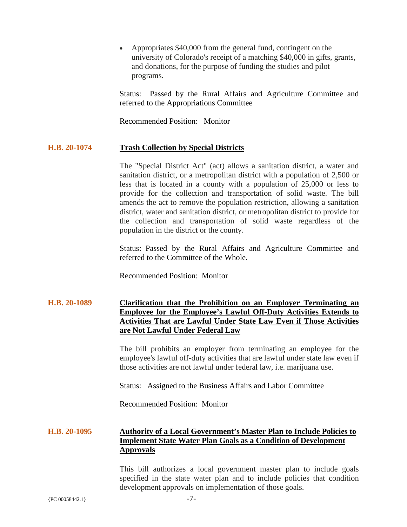• Appropriates \$40,000 from the general fund, contingent on the university of Colorado's receipt of a matching \$40,000 in gifts, grants, and donations, for the purpose of funding the studies and pilot programs.

Status: Passed by the Rural Affairs and Agriculture Committee and referred to the Appropriations Committee

Recommended Position: Monitor

#### **H.B. 20-1074 Trash Collection by Special Districts**

The "Special District Act" (act) allows a sanitation district, a water and sanitation district, or a metropolitan district with a population of 2,500 or less that is located in a county with a population of 25,000 or less to provide for the collection and transportation of solid waste. The bill amends the act to remove the population restriction, allowing a sanitation district, water and sanitation district, or metropolitan district to provide for the collection and transportation of solid waste regardless of the population in the district or the county.

Status: Passed by the Rural Affairs and Agriculture Committee and referred to the Committee of the Whole.

Recommended Position: Monitor

# **H.B. 20-1089 Clarification that the Prohibition on an Employer Terminating an Employee for the Employee's Lawful Off-Duty Activities Extends to Activities That are Lawful Under State Law Even if Those Activities are Not Lawful Under Federal Law**

The bill prohibits an employer from terminating an employee for the employee's lawful off-duty activities that are lawful under state law even if those activities are not lawful under federal law, i.e. marijuana use.

Status: Assigned to the Business Affairs and Labor Committee

Recommended Position: Monitor

# **H.B. 20-1095 Authority of a Local Government's Master Plan to Include Policies to Implement State Water Plan Goals as a Condition of Development Approvals**

This bill authorizes a local government master plan to include goals specified in the state water plan and to include policies that condition development approvals on implementation of those goals.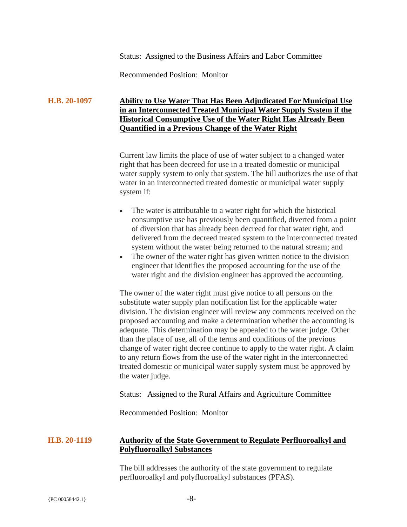Status: Assigned to the Business Affairs and Labor Committee

Recommended Position: Monitor

# **H.B. 20-1097 Ability to Use Water That Has Been Adjudicated For Municipal Use in an Interconnected Treated Municipal Water Supply System if the Historical Consumptive Use of the Water Right Has Already Been Quantified in a Previous Change of the Water Right**

Current law limits the place of use of water subject to a changed water right that has been decreed for use in a treated domestic or municipal water supply system to only that system. The bill authorizes the use of that water in an interconnected treated domestic or municipal water supply system if:

- The water is attributable to a water right for which the historical consumptive use has previously been quantified, diverted from a point of diversion that has already been decreed for that water right, and delivered from the decreed treated system to the interconnected treated system without the water being returned to the natural stream; and
- The owner of the water right has given written notice to the division engineer that identifies the proposed accounting for the use of the water right and the division engineer has approved the accounting.

The owner of the water right must give notice to all persons on the substitute water supply plan notification list for the applicable water division. The division engineer will review any comments received on the proposed accounting and make a determination whether the accounting is adequate. This determination may be appealed to the water judge. Other than the place of use, all of the terms and conditions of the previous change of water right decree continue to apply to the water right. A claim to any return flows from the use of the water right in the interconnected treated domestic or municipal water supply system must be approved by the water judge.

Status: Assigned to the Rural Affairs and Agriculture Committee

Recommended Position: Monitor

### **H.B. 20-1119 Authority of the State Government to Regulate Perfluoroalkyl and Polyfluoroalkyl Substances**

The bill addresses the authority of the state government to regulate perfluoroalkyl and polyfluoroalkyl substances (PFAS).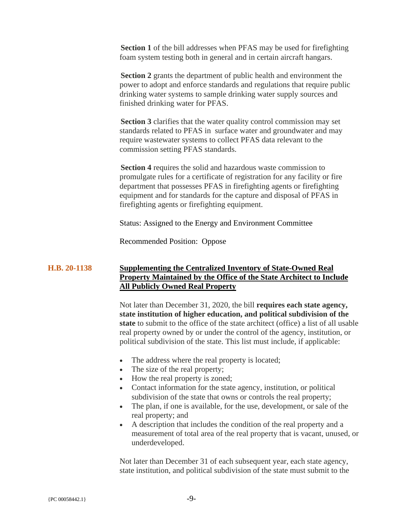**Section 1** of the bill addresses when PFAS may be used for firefighting foam system testing both in general and in certain aircraft hangars.

**Section 2** grants the department of public health and environment the power to adopt and enforce standards and regulations that require public drinking water systems to sample drinking water supply sources and finished drinking water for PFAS.

**Section 3** clarifies that the water quality control commission may set standards related to PFAS in surface water and groundwater and may require wastewater systems to collect PFAS data relevant to the commission setting PFAS standards.

**Section 4** requires the solid and hazardous waste commission to promulgate rules for a certificate of registration for any facility or fire department that possesses PFAS in firefighting agents or firefighting equipment and for standards for the capture and disposal of PFAS in firefighting agents or firefighting equipment.

Status: Assigned to the Energy and Environment Committee

Recommended Position: Oppose

## **H.B. 20-1138 Supplementing the Centralized Inventory of State-Owned Real Property Maintained by the Office of the State Architect to Include All Publicly Owned Real Property**

Not later than December 31, 2020, the bill **requires each state agency, state institution of higher education, and political subdivision of the state** to submit to the office of the state architect (office) a list of all usable real property owned by or under the control of the agency, institution, or political subdivision of the state. This list must include, if applicable:

- The address where the real property is located;
- The size of the real property;
- How the real property is zoned;
- Contact information for the state agency, institution, or political subdivision of the state that owns or controls the real property;
- The plan, if one is available, for the use, development, or sale of the real property; and
- A description that includes the condition of the real property and a measurement of total area of the real property that is vacant, unused, or underdeveloped.

Not later than December 31 of each subsequent year, each state agency, state institution, and political subdivision of the state must submit to the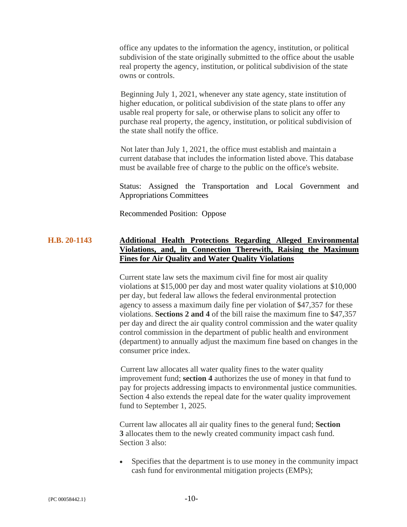office any updates to the information the agency, institution, or political subdivision of the state originally submitted to the office about the usable real property the agency, institution, or political subdivision of the state owns or controls.

Beginning July 1, 2021, whenever any state agency, state institution of higher education, or political subdivision of the state plans to offer any usable real property for sale, or otherwise plans to solicit any offer to purchase real property, the agency, institution, or political subdivision of the state shall notify the office.

Not later than July 1, 2021, the office must establish and maintain a current database that includes the information listed above. This database must be available free of charge to the public on the office's website.

Status: Assigned the Transportation and Local Government and Appropriations Committees

Recommended Position: Oppose

# **H.B. 20-1143 Additional Health Protections Regarding Alleged Environmental Violations, and, in Connection Therewith, Raising the Maximum Fines for Air Quality and Water Quality Violations**

Current state law sets the maximum civil fine for most air quality violations at \$15,000 per day and most water quality violations at \$10,000 per day, but federal law allows the federal environmental protection agency to assess a maximum daily fine per violation of \$47,357 for these violations. **Sections 2 and 4** of the bill raise the maximum fine to \$47,357 per day and direct the air quality control commission and the water quality control commission in the department of public health and environment (department) to annually adjust the maximum fine based on changes in the consumer price index.

Current law allocates all water quality fines to the water quality improvement fund; **section 4** authorizes the use of money in that fund to pay for projects addressing impacts to environmental justice communities. Section 4 also extends the repeal date for the water quality improvement fund to September 1, 2025.

Current law allocates all air quality fines to the general fund; **Section 3** allocates them to the newly created community impact cash fund. Section 3 also:

• Specifies that the department is to use money in the community impact cash fund for environmental mitigation projects (EMPs);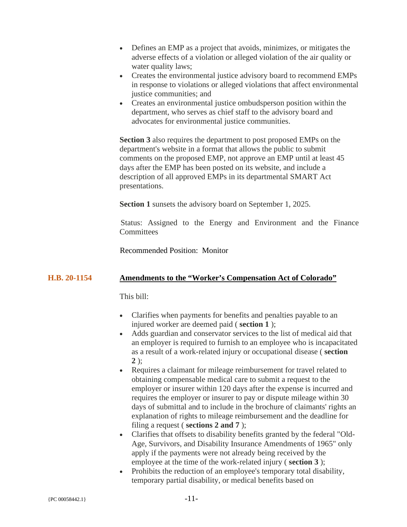- Defines an EMP as a project that avoids, minimizes, or mitigates the adverse effects of a violation or alleged violation of the air quality or water quality laws;
- Creates the environmental justice advisory board to recommend EMPs in response to violations or alleged violations that affect environmental justice communities; and
- Creates an environmental justice ombudsperson position within the department, who serves as chief staff to the advisory board and advocates for environmental justice communities.

**Section 3** also requires the department to post proposed EMPs on the department's website in a format that allows the public to submit comments on the proposed EMP, not approve an EMP until at least 45 days after the EMP has been posted on its website, and include a description of all approved EMPs in its departmental SMART Act presentations.

**Section 1** sunsets the advisory board on September 1, 2025.

Status: Assigned to the Energy and Environment and the Finance **Committees** 

Recommended Position: Monitor

### **H.B. 20-1154 Amendments to the "Worker's Compensation Act of Colorado"**

This bill:

- Clarifies when payments for benefits and penalties payable to an injured worker are deemed paid ( **section 1** );
- Adds guardian and conservator services to the list of medical aid that an employer is required to furnish to an employee who is incapacitated as a result of a work-related injury or occupational disease ( **section 2** );
- Requires a claimant for mileage reimbursement for travel related to obtaining compensable medical care to submit a request to the employer or insurer within 120 days after the expense is incurred and requires the employer or insurer to pay or dispute mileage within 30 days of submittal and to include in the brochure of claimants' rights an explanation of rights to mileage reimbursement and the deadline for filing a request ( **sections 2 and 7** );
- Clarifies that offsets to disability benefits granted by the federal "Old-Age, Survivors, and Disability Insurance Amendments of 1965" only apply if the payments were not already being received by the employee at the time of the work-related injury ( **section 3** );
- Prohibits the reduction of an employee's temporary total disability, temporary partial disability, or medical benefits based on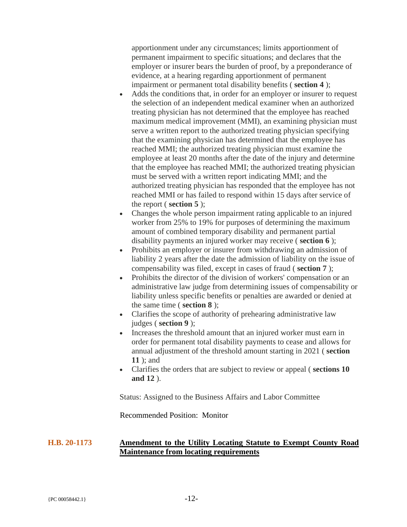apportionment under any circumstances; limits apportionment of permanent impairment to specific situations; and declares that the employer or insurer bears the burden of proof, by a preponderance of evidence, at a hearing regarding apportionment of permanent impairment or permanent total disability benefits ( **section 4** );

- Adds the conditions that, in order for an employer or insurer to request the selection of an independent medical examiner when an authorized treating physician has not determined that the employee has reached maximum medical improvement (MMI), an examining physician must serve a written report to the authorized treating physician specifying that the examining physician has determined that the employee has reached MMI; the authorized treating physician must examine the employee at least 20 months after the date of the injury and determine that the employee has reached MMI; the authorized treating physician must be served with a written report indicating MMI; and the authorized treating physician has responded that the employee has not reached MMI or has failed to respond within 15 days after service of the report ( **section 5** );
- Changes the whole person impairment rating applicable to an injured worker from 25% to 19% for purposes of determining the maximum amount of combined temporary disability and permanent partial disability payments an injured worker may receive ( **section 6** );
- Prohibits an employer or insurer from withdrawing an admission of liability 2 years after the date the admission of liability on the issue of compensability was filed, except in cases of fraud ( **section 7** );
- Prohibits the director of the division of workers' compensation or an administrative law judge from determining issues of compensability or liability unless specific benefits or penalties are awarded or denied at the same time ( **section 8** );
- Clarifies the scope of authority of prehearing administrative law judges ( **section 9** );
- Increases the threshold amount that an injured worker must earn in order for permanent total disability payments to cease and allows for annual adjustment of the threshold amount starting in 2021 ( **section 11** ); and
- Clarifies the orders that are subject to review or appeal ( **sections 10 and 12** ).

Status: Assigned to the Business Affairs and Labor Committee

Recommended Position: Monitor

# **H.B. 20-1173 Amendment to the Utility Locating Statute to Exempt County Road Maintenance from locating requirements**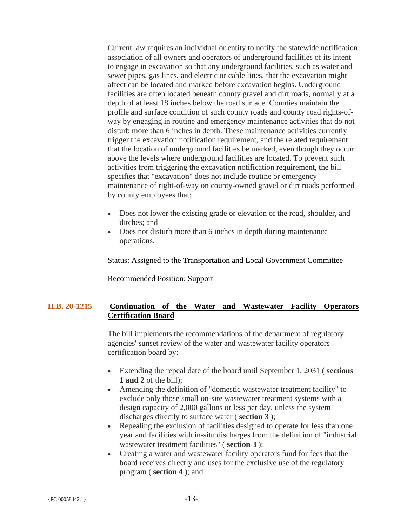Current law requires an individual or entity to notify the statewide notification association of all owners and operators of underground facilities of its intent to engage in excavation so that any underground facilities, such as water and sewer pipes, gas lines, and electric or cable lines, that the excavation might affect can be located and marked before excavation begins. Underground facilities are often located beneath county gravel and dirt roads, normally at a depth of at least 18 inches below the road surface. Counties maintain the profile and surface condition of such county roads and county road rights-ofway by engaging in routine and emergency maintenance activities that do not disturb more than 6 inches in depth. These maintenance activities currently trigger the excavation notification requirement, and the related requirement that the location of underground facilities be marked, even though they occur above the levels where underground facilities are located. To prevent such activities from triggering the excavation notification requirement, the bill specifies that "excavation" does not include routine or emergency maintenance of right-of-way on county-owned gravel or dirt roads performed by county employees that:

- Does not lower the existing grade or elevation of the road, shoulder, and ditches; and
- Does not disturb more than 6 inches in depth during maintenance operations.

Status: Assigned to the Transportation and Local Government Committee

Recommended Position: Support

## **H.B. 20-1215 Continuation of the Water and Wastewater Facility Operators Certification Board**

The bill implements the recommendations of the department of regulatory agencies' sunset review of the water and wastewater facility operators certification board by:

- Extending the repeal date of the board until September 1, 2031 ( **sections 1 and 2** of the bill);
- Amending the definition of "domestic wastewater treatment facility" to exclude only those small on-site wastewater treatment systems with a design capacity of 2,000 gallons or less per day, unless the system discharges directly to surface water ( **section 3** );
- Repealing the exclusion of facilities designed to operate for less than one year and facilities with in-situ discharges from the definition of "industrial wastewater treatment facilities" ( **section 3** );
- Creating a water and wastewater facility operators fund for fees that the board receives directly and uses for the exclusive use of the regulatory program ( **section 4** ); and